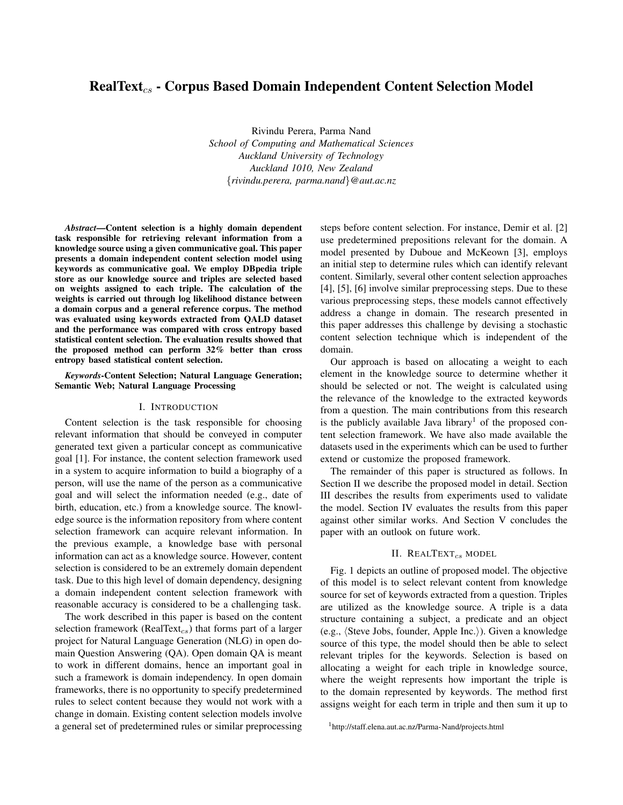# RealText<sub>cs</sub> - Corpus Based Domain Independent Content Selection Model

Rivindu Perera, Parma Nand *School of Computing and Mathematical Sciences Auckland University of Technology Auckland 1010, New Zealand* {*rivindu.perera, parma.nand*}*@aut.ac.nz*

*Abstract*—Content selection is a highly domain dependent task responsible for retrieving relevant information from a knowledge source using a given communicative goal. This paper presents a domain independent content selection model using keywords as communicative goal. We employ DBpedia triple store as our knowledge source and triples are selected based on weights assigned to each triple. The calculation of the weights is carried out through log likelihood distance between a domain corpus and a general reference corpus. The method was evaluated using keywords extracted from QALD dataset and the performance was compared with cross entropy based statistical content selection. The evaluation results showed that the proposed method can perform 32% better than cross entropy based statistical content selection.

### *Keywords*-Content Selection; Natural Language Generation; Semantic Web; Natural Language Processing

#### I. INTRODUCTION

Content selection is the task responsible for choosing relevant information that should be conveyed in computer generated text given a particular concept as communicative goal [1]. For instance, the content selection framework used in a system to acquire information to build a biography of a person, will use the name of the person as a communicative goal and will select the information needed (e.g., date of birth, education, etc.) from a knowledge source. The knowledge source is the information repository from where content selection framework can acquire relevant information. In the previous example, a knowledge base with personal information can act as a knowledge source. However, content selection is considered to be an extremely domain dependent task. Due to this high level of domain dependency, designing a domain independent content selection framework with reasonable accuracy is considered to be a challenging task.

The work described in this paper is based on the content selection framework ( $RealText_{cs}$ ) that forms part of a larger project for Natural Language Generation (NLG) in open domain Question Answering (QA). Open domain QA is meant to work in different domains, hence an important goal in such a framework is domain independency. In open domain frameworks, there is no opportunity to specify predetermined rules to select content because they would not work with a change in domain. Existing content selection models involve a general set of predetermined rules or similar preprocessing steps before content selection. For instance, Demir et al. [2] use predetermined prepositions relevant for the domain. A model presented by Duboue and McKeown [3], employs an initial step to determine rules which can identify relevant content. Similarly, several other content selection approaches [4], [5], [6] involve similar preprocessing steps. Due to these various preprocessing steps, these models cannot effectively address a change in domain. The research presented in this paper addresses this challenge by devising a stochastic content selection technique which is independent of the domain.

Our approach is based on allocating a weight to each element in the knowledge source to determine whether it should be selected or not. The weight is calculated using the relevance of the knowledge to the extracted keywords from a question. The main contributions from this research is the publicly available Java library<sup>1</sup> of the proposed content selection framework. We have also made available the datasets used in the experiments which can be used to further extend or customize the proposed framework.

The remainder of this paper is structured as follows. In Section II we describe the proposed model in detail. Section III describes the results from experiments used to validate the model. Section IV evaluates the results from this paper against other similar works. And Section V concludes the paper with an outlook on future work.

# II. REALTEXT<sub>cs</sub> MODEL

Fig. 1 depicts an outline of proposed model. The objective of this model is to select relevant content from knowledge source for set of keywords extracted from a question. Triples are utilized as the knowledge source. A triple is a data structure containing a subject, a predicate and an object (e.g., *(Steve Jobs, founder, Apple Inc.)*). Given a knowledge source of this type, the model should then be able to select relevant triples for the keywords. Selection is based on allocating a weight for each triple in knowledge source, where the weight represents how important the triple is to the domain represented by keywords. The method first assigns weight for each term in triple and then sum it up to

<sup>1</sup>http://staff.elena.aut.ac.nz/Parma-Nand/projects.html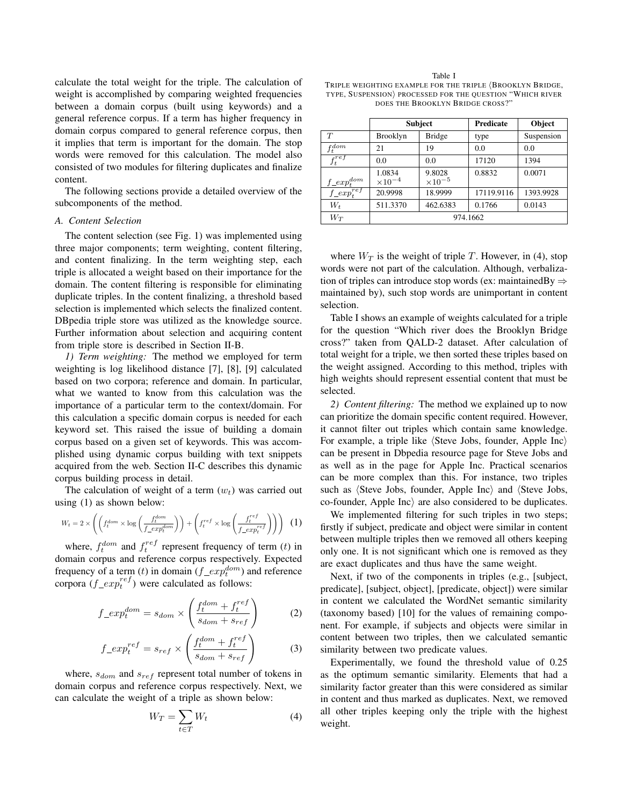calculate the total weight for the triple. The calculation of weight is accomplished by comparing weighted frequencies between a domain corpus (built using keywords) and a general reference corpus. If a term has higher frequency in domain corpus compared to general reference corpus, then it implies that term is important for the domain. The stop words were removed for this calculation. The model also consisted of two modules for filtering duplicates and finalize content.

The following sections provide a detailed overview of the subcomponents of the method.

# *A. Content Selection*

The content selection (see Fig. 1) was implemented using three major components; term weighting, content filtering, and content finalizing. In the term weighting step, each triple is allocated a weight based on their importance for the domain. The content filtering is responsible for eliminating duplicate triples. In the content finalizing, a threshold based selection is implemented which selects the finalized content. DBpedia triple store was utilized as the knowledge source. Further information about selection and acquiring content from triple store is described in Section II-B.

*1) Term weighting:* The method we employed for term weighting is log likelihood distance [7], [8], [9] calculated based on two corpora; reference and domain. In particular, what we wanted to know from this calculation was the importance of a particular term to the context/domain. For this calculation a specific domain corpus is needed for each keyword set. This raised the issue of building a domain corpus based on a given set of keywords. This was accomplished using dynamic corpus building with text snippets acquired from the web. Section II-C describes this dynamic corpus building process in detail.

The calculation of weight of a term  $(w_t)$  was carried out using (1) as shown below:

$$
W_t = 2 \times \left( \left( f_t^{dom} \times \log \left( \frac{f_t^{dom}}{f\_exp_t^{dom}} \right) \right) + \left( f_t^{ref} \times \log \left( \frac{f_t^{ref}}{f\_exp_t^{ref}} \right) \right) \right) (1)
$$

where,  $f_t^{dom}$  and  $f_t^{ref}$  represent frequency of term (*t*) in domain corpus and reference corpus respectively. Expected frequency of a term (*t*) in domain  $(f\_exp_t^{dom})$  and reference corpora  $(f_{\text{e}}exp_t^{ref})$  were calculated as follows:

$$
f\_{exp}^{dom} = s_{dom} \times \left(\frac{f_t^{dom} + f_t^{ref}}{s_{dom} + s_{ref}}\right) \tag{2}
$$

$$
f\_exp_t^{ref} = s_{ref} \times \left(\frac{f_t^{dom} + f_t^{ref}}{s_{dom} + s_{ref}}\right) \tag{3}
$$

where,  $s_{dom}$  and  $s_{ref}$  represent total number of tokens in domain corpus and reference corpus respectively. Next, we can calculate the weight of a triple as shown below:

$$
W_T = \sum_{t \in T} W_t \tag{4}
$$

Table I TRIPLE WEIGHTING EXAMPLE FOR THE TRIPLE (BROOKLYN BRIDGE, TYPE, SUSPENSION) PROCESSED FOR THE QUESTION "WHICH RIVER DOES THE BROOKLYN BRIDGE CROSS?"

|                   | <b>Subject</b>             |                            | Predicate  | Object     |
|-------------------|----------------------------|----------------------------|------------|------------|
| T                 | <b>Brooklyn</b>            | <b>Bridge</b>              | type       | Suspension |
| fdom              | 21                         | 19                         | 0.0        | 0.0        |
| $\bar{f_t}^{ref}$ | 0.0                        | 0.0                        | 17120      | 1394       |
| $f\_exp^{dom}_t$  | 1.0834<br>$\times 10^{-4}$ | 9.8028<br>$\times 10^{-5}$ | 0.8832     | 0.0071     |
| $f\_exp_t^{ref}$  | 20.9998                    | 18.9999                    | 17119.9116 | 1393.9928  |
| $W_t$             | 511.3370                   | 462.6383                   | 0.1766     | 0.0143     |
| $W_T$             | 974.1662                   |                            |            |            |

where  $W_T$  is the weight of triple T. However, in (4), stop words were not part of the calculation. Although, verbalization of triples can introduce stop words (ex: maintainedBy  $\Rightarrow$ maintained by), such stop words are unimportant in content selection.

Table I shows an example of weights calculated for a triple for the question "Which river does the Brooklyn Bridge cross?" taken from QALD-2 dataset. After calculation of total weight for a triple, we then sorted these triples based on the weight assigned. According to this method, triples with high weights should represent essential content that must be selected.

*2) Content filtering:* The method we explained up to now can prioritize the domain specific content required. However, it cannot filter out triples which contain same knowledge. For example, a triple like  $\langle$ Steve Jobs, founder, Apple Inc $\rangle$ can be present in Dbpedia resource page for Steve Jobs and as well as in the page for Apple Inc. Practical scenarios can be more complex than this. For instance, two triples such as  $\langle$ Steve Jobs, founder, Apple Inc $\rangle$  and  $\langle$ Steve Jobs, co-founder, Apple Inc $\rangle$  are also considered to be duplicates.

We implemented filtering for such triples in two steps; firstly if subject, predicate and object were similar in content between multiple triples then we removed all others keeping only one. It is not significant which one is removed as they are exact duplicates and thus have the same weight.

Next, if two of the components in triples (e.g., [subject, predicate], [subject, object], [predicate, object]) were similar in content we calculated the WordNet semantic similarity (taxonomy based) [10] for the values of remaining component. For example, if subjects and objects were similar in content between two triples, then we calculated semantic similarity between two predicate values.

Experimentally, we found the threshold value of 0.25 as the optimum semantic similarity. Elements that had a similarity factor greater than this were considered as similar in content and thus marked as duplicates. Next, we removed all other triples keeping only the triple with the highest weight.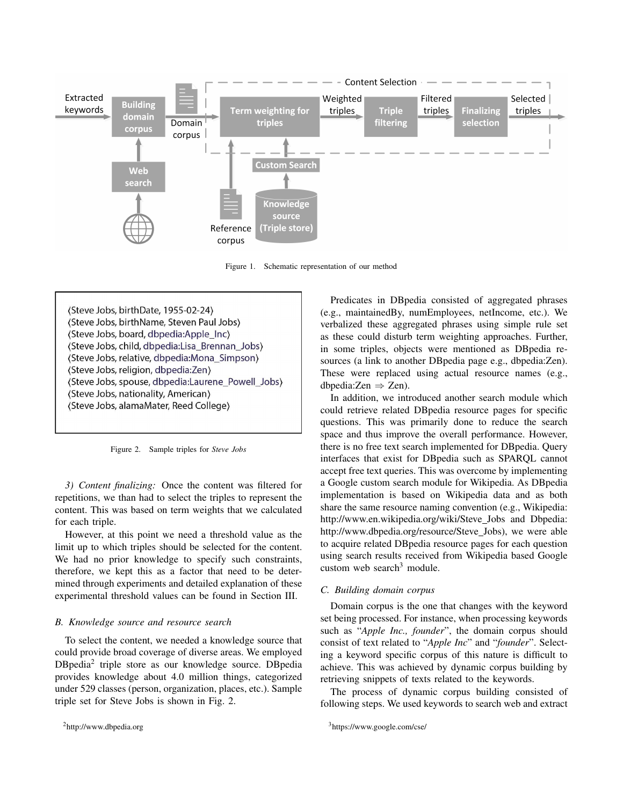

Figure 1. Schematic representation of our method

(Steve Jobs, birthDate, 1955-02-24) (Steve Jobs, birthName, Steven Paul Jobs) (Steve Jobs, board, dbpedia:Apple\_Inc) (Steve Jobs, child, dbpedia:Lisa Brennan Jobs) (Steve Jobs, relative, dbpedia: Mona\_Simpson) (Steve Jobs, religion, dbpedia:Zen) (Steve Jobs, spouse, dbpedia:Laurene Powell Jobs) (Steve Jobs, nationality, American) (Steve Jobs, alamaMater, Reed College)

Figure 2. Sample triples for *Steve Jobs*

*3) Content finalizing:* Once the content was filtered for repetitions, we than had to select the triples to represent the content. This was based on term weights that we calculated for each triple.

However, at this point we need a threshold value as the limit up to which triples should be selected for the content. We had no prior knowledge to specify such constraints, therefore, we kept this as a factor that need to be determined through experiments and detailed explanation of these experimental threshold values can be found in Section III.

#### *B. Knowledge source and resource search*

To select the content, we needed a knowledge source that could provide broad coverage of diverse areas. We employed DBpedia<sup>2</sup> triple store as our knowledge source. DBpedia provides knowledge about 4.0 million things, categorized under 529 classes (person, organization, places, etc.). Sample triple set for Steve Jobs is shown in Fig. 2.

<sup>2</sup>http://www.dbpedia.org

Predicates in DBpedia consisted of aggregated phrases (e.g., maintainedBy, numEmployees, netIncome, etc.). We verbalized these aggregated phrases using simple rule set as these could disturb term weighting approaches. Further, in some triples, objects were mentioned as DBpedia resources (a link to another DBpedia page e.g., dbpedia:Zen). These were replaced using actual resource names (e.g., dbpedia:Zen  $\Rightarrow$  Zen).

In addition, we introduced another search module which could retrieve related DBpedia resource pages for specific questions. This was primarily done to reduce the search space and thus improve the overall performance. However, there is no free text search implemented for DBpedia. Query interfaces that exist for DBpedia such as SPARQL cannot accept free text queries. This was overcome by implementing a Google custom search module for Wikipedia. As DBpedia implementation is based on Wikipedia data and as both share the same resource naming convention (e.g., Wikipedia: http://www.en.wikipedia.org/wiki/Steve Jobs and Dbpedia: http://www.dbpedia.org/resource/Steve Jobs), we were able to acquire related DBpedia resource pages for each question using search results received from Wikipedia based Google custom web search $3$  module.

# *C. Building domain corpus*

Domain corpus is the one that changes with the keyword set being processed. For instance, when processing keywords such as "*Apple Inc., founder*", the domain corpus should consist of text related to "*Apple Inc*" and "*founder*". Selecting a keyword specific corpus of this nature is difficult to achieve. This was achieved by dynamic corpus building by retrieving snippets of texts related to the keywords.

The process of dynamic corpus building consisted of following steps. We used keywords to search web and extract

<sup>3</sup>https://www.google.com/cse/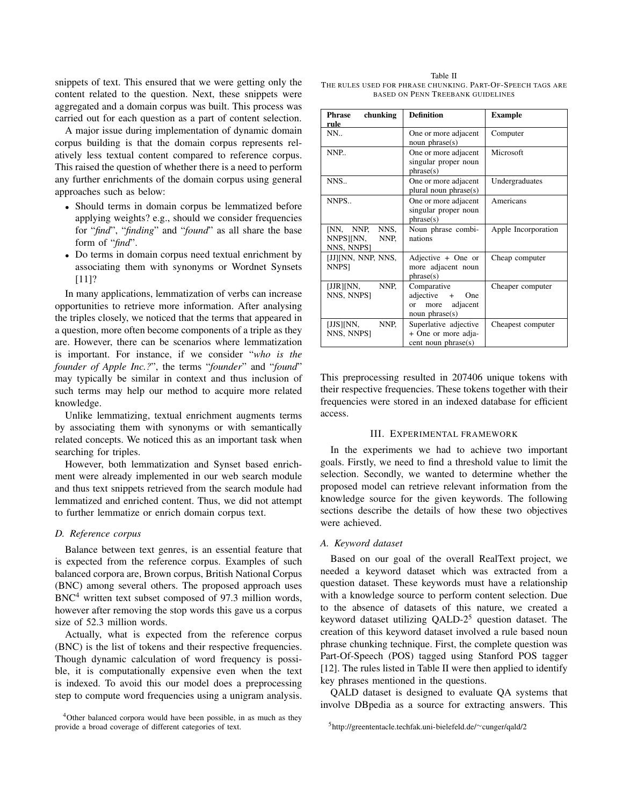snippets of text. This ensured that we were getting only the content related to the question. Next, these snippets were aggregated and a domain corpus was built. This process was carried out for each question as a part of content selection.

A major issue during implementation of dynamic domain corpus building is that the domain corpus represents relatively less textual content compared to reference corpus. This raised the question of whether there is a need to perform any further enrichments of the domain corpus using general approaches such as below:

- Should terms in domain corpus be lemmatized before applying weights? e.g., should we consider frequencies for "*find*", "*finding*" and "*found*" as all share the base form of "*find*".
- Do terms in domain corpus need textual enrichment by associating them with synonyms or Wordnet Synsets [11]?

In many applications, lemmatization of verbs can increase opportunities to retrieve more information. After analysing the triples closely, we noticed that the terms that appeared in a question, more often become components of a triple as they are. However, there can be scenarios where lemmatization is important. For instance, if we consider "*who is the founder of Apple Inc.?*", the terms "*founder*" and "*found*" may typically be similar in context and thus inclusion of such terms may help our method to acquire more related knowledge.

Unlike lemmatizing, textual enrichment augments terms by associating them with synonyms or with semantically related concepts. We noticed this as an important task when searching for triples.

However, both lemmatization and Synset based enrichment were already implemented in our web search module and thus text snippets retrieved from the search module had lemmatized and enriched content. Thus, we did not attempt to further lemmatize or enrich domain corpus text.

## *D. Reference corpus*

Balance between text genres, is an essential feature that is expected from the reference corpus. Examples of such balanced corpora are, Brown corpus, British National Corpus (BNC) among several others. The proposed approach uses BNC<sup>4</sup> written text subset composed of 97.3 million words, however after removing the stop words this gave us a corpus size of 52.3 million words.

Actually, what is expected from the reference corpus (BNC) is the list of tokens and their respective frequencies. Though dynamic calculation of word frequency is possible, it is computationally expensive even when the text is indexed. To avoid this our model does a preprocessing step to compute word frequencies using a unigram analysis.

<sup>4</sup>Other balanced corpora would have been possible, in as much as they provide a broad coverage of different categories of text.

Table II THE RULES USED FOR PHRASE CHUNKING. PART-OF-SPEECH TAGS ARE BASED ON PENN TREEBANK GUIDELINES

| <b>Phrase</b><br>chunking<br>rule                    | <b>Definition</b>                                                                        | <b>Example</b>      |
|------------------------------------------------------|------------------------------------------------------------------------------------------|---------------------|
| $NN$                                                 | One or more adjacent<br>noun $phrase(s)$                                                 | Computer            |
| NNP                                                  | One or more adjacent<br>singular proper noun<br>phrase(s)                                | Microsoft           |
| NNS                                                  | One or more adjacent<br>plural noun phrase(s)                                            | Undergraduates      |
| NNPS.                                                | One or more adjacent<br>singular proper noun<br>phrase(s)                                | Americans           |
| NNS,<br>[NN, NNP,<br>NNPS][NN,<br>NNP.<br>NNS, NNPS] | Noun phrase combi-<br>nations                                                            | Apple Incorporation |
| [JJ][NN, NNP, NNS,<br>NNPS <sub>1</sub>              | Adjective $+$ One or<br>more adjacent noun<br>phrase(s)                                  | Cheap computer      |
| [JJR][NN,<br>NNP.<br>NNS, NNPS]                      | Comparative<br>adjective<br>One.<br>$+$<br>more adjacent<br>$\alpha$<br>noun $phrase(s)$ | Cheaper computer    |
| [JJS][NN,<br>NNP.<br>NNS, NNPS]                      | Superlative adjective<br>+ One or more adja-<br>cent noun phrase(s)                      | Cheapest computer   |

This preprocessing resulted in 207406 unique tokens with their respective frequencies. These tokens together with their frequencies were stored in an indexed database for efficient access.

#### III. EXPERIMENTAL FRAMEWORK

In the experiments we had to achieve two important goals. Firstly, we need to find a threshold value to limit the selection. Secondly, we wanted to determine whether the proposed model can retrieve relevant information from the knowledge source for the given keywords. The following sections describe the details of how these two objectives were achieved.

# *A. Keyword dataset*

Based on our goal of the overall RealText project, we needed a keyword dataset which was extracted from a question dataset. These keywords must have a relationship with a knowledge source to perform content selection. Due to the absence of datasets of this nature, we created a keyword dataset utilizing  $QALD-2<sup>5</sup>$  question dataset. The creation of this keyword dataset involved a rule based noun phrase chunking technique. First, the complete question was Part-Of-Speech (POS) tagged using Stanford POS tagger [12]. The rules listed in Table II were then applied to identify key phrases mentioned in the questions.

QALD dataset is designed to evaluate QA systems that involve DBpedia as a source for extracting answers. This

<sup>5</sup>http://greententacle.techfak.uni-bielefeld.de/∼cunger/qald/2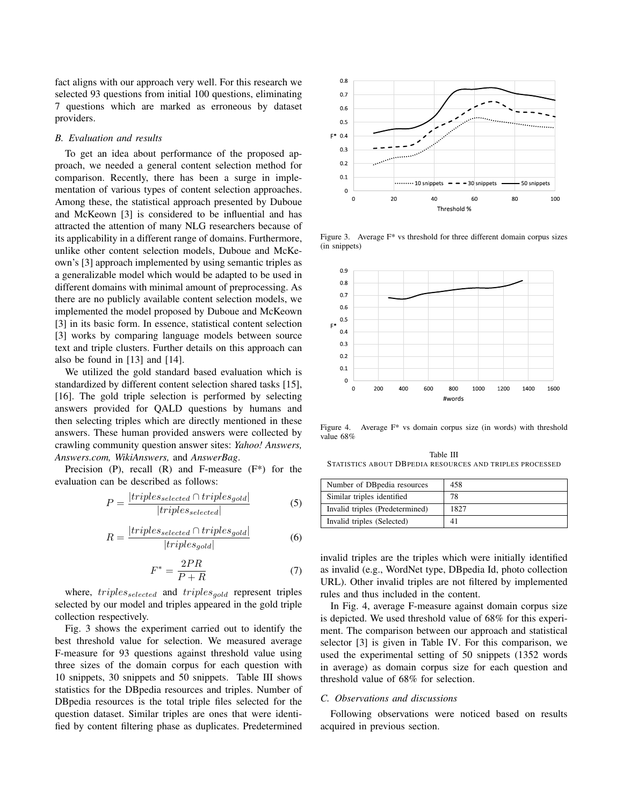fact aligns with our approach very well. For this research we selected 93 questions from initial 100 questions, eliminating 7 questions which are marked as erroneous by dataset providers.

#### *B. Evaluation and results*

To get an idea about performance of the proposed approach, we needed a general content selection method for comparison. Recently, there has been a surge in implementation of various types of content selection approaches. Among these, the statistical approach presented by Duboue and McKeown [3] is considered to be influential and has attracted the attention of many NLG researchers because of its applicability in a different range of domains. Furthermore, unlike other content selection models, Duboue and McKeown's [3] approach implemented by using semantic triples as a generalizable model which would be adapted to be used in different domains with minimal amount of preprocessing. As there are no publicly available content selection models, we implemented the model proposed by Duboue and McKeown [3] in its basic form. In essence, statistical content selection [3] works by comparing language models between source text and triple clusters. Further details on this approach can also be found in [13] and [14].

We utilized the gold standard based evaluation which is standardized by different content selection shared tasks [15], [16]. The gold triple selection is performed by selecting answers provided for QALD questions by humans and then selecting triples which are directly mentioned in these answers. These human provided answers were collected by crawling community question answer sites: *Yahoo! Answers, Answers.com, WikiAnswers,* and *AnswerBag*.

Precision  $(P)$ , recall  $(R)$  and F-measure  $(F^*)$  for the evaluation can be described as follows:

$$
P = \frac{|triples_{selected} \cap triples_{gold}|}{|triples_{selected}|}
$$
 (5)

$$
R = \frac{|triples_{selected} \cap triples_{gold}|}{|triples_{gold}|}
$$
 (6)

$$
F^* = \frac{2PR}{P + R} \tag{7}
$$

where,  $triples_{selected}$  and  $triples_{gold}$  represent triples selected by our model and triples appeared in the gold triple collection respectively.

Fig. 3 shows the experiment carried out to identify the best threshold value for selection. We measured average F-measure for 93 questions against threshold value using three sizes of the domain corpus for each question with 10 snippets, 30 snippets and 50 snippets. Table III shows statistics for the DBpedia resources and triples. Number of DBpedia resources is the total triple files selected for the question dataset. Similar triples are ones that were identified by content filtering phase as duplicates. Predetermined



Figure 3. Average F\* vs threshold for three different domain corpus sizes (in snippets)



Figure 4. Average  $F^*$  vs domain corpus size (in words) with threshold value 68%

Table III STATISTICS ABOUT DBPEDIA RESOURCES AND TRIPLES PROCESSED

| Number of DB pedia resources    | 458  |
|---------------------------------|------|
| Similar triples identified      | 78   |
| Invalid triples (Predetermined) | 1827 |
| Invalid triples (Selected)      | 41   |

invalid triples are the triples which were initially identified as invalid (e.g., WordNet type, DBpedia Id, photo collection URL). Other invalid triples are not filtered by implemented rules and thus included in the content.

In Fig. 4, average F-measure against domain corpus size is depicted. We used threshold value of 68% for this experiment. The comparison between our approach and statistical selector [3] is given in Table IV. For this comparison, we used the experimental setting of 50 snippets (1352 words in average) as domain corpus size for each question and threshold value of 68% for selection.

#### *C. Observations and discussions*

Following observations were noticed based on results acquired in previous section.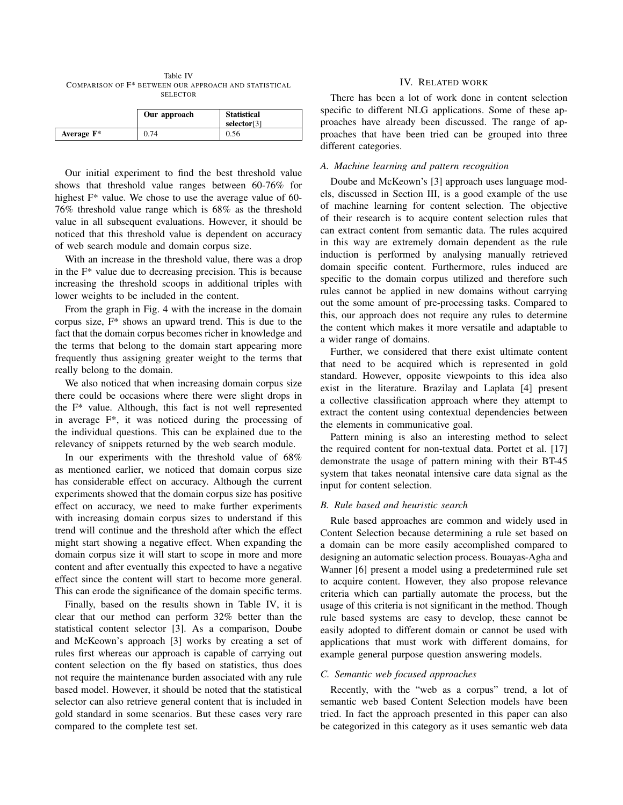Table IV COMPARISON OF F\* BETWEEN OUR APPROACH AND STATISTICAL SELECTOR

|               | Our approach | <b>Statistical</b><br>selector <sup>[3]</sup> |
|---------------|--------------|-----------------------------------------------|
| Average $F^*$ | 0.74         | 0.56                                          |

Our initial experiment to find the best threshold value shows that threshold value ranges between 60-76% for highest F<sup>\*</sup> value. We chose to use the average value of 60-76% threshold value range which is 68% as the threshold value in all subsequent evaluations. However, it should be noticed that this threshold value is dependent on accuracy of web search module and domain corpus size.

With an increase in the threshold value, there was a drop in the F\* value due to decreasing precision. This is because increasing the threshold scoops in additional triples with lower weights to be included in the content.

From the graph in Fig. 4 with the increase in the domain corpus size,  $F^*$  shows an upward trend. This is due to the fact that the domain corpus becomes richer in knowledge and the terms that belong to the domain start appearing more frequently thus assigning greater weight to the terms that really belong to the domain.

We also noticed that when increasing domain corpus size there could be occasions where there were slight drops in the F\* value. Although, this fact is not well represented in average F\*, it was noticed during the processing of the individual questions. This can be explained due to the relevancy of snippets returned by the web search module.

In our experiments with the threshold value of 68% as mentioned earlier, we noticed that domain corpus size has considerable effect on accuracy. Although the current experiments showed that the domain corpus size has positive effect on accuracy, we need to make further experiments with increasing domain corpus sizes to understand if this trend will continue and the threshold after which the effect might start showing a negative effect. When expanding the domain corpus size it will start to scope in more and more content and after eventually this expected to have a negative effect since the content will start to become more general. This can erode the significance of the domain specific terms.

Finally, based on the results shown in Table IV, it is clear that our method can perform 32% better than the statistical content selector [3]. As a comparison, Doube and McKeown's approach [3] works by creating a set of rules first whereas our approach is capable of carrying out content selection on the fly based on statistics, thus does not require the maintenance burden associated with any rule based model. However, it should be noted that the statistical selector can also retrieve general content that is included in gold standard in some scenarios. But these cases very rare compared to the complete test set.

# IV. RELATED WORK

There has been a lot of work done in content selection specific to different NLG applications. Some of these approaches have already been discussed. The range of approaches that have been tried can be grouped into three different categories.

# *A. Machine learning and pattern recognition*

Doube and McKeown's [3] approach uses language models, discussed in Section III, is a good example of the use of machine learning for content selection. The objective of their research is to acquire content selection rules that can extract content from semantic data. The rules acquired in this way are extremely domain dependent as the rule induction is performed by analysing manually retrieved domain specific content. Furthermore, rules induced are specific to the domain corpus utilized and therefore such rules cannot be applied in new domains without carrying out the some amount of pre-processing tasks. Compared to this, our approach does not require any rules to determine the content which makes it more versatile and adaptable to a wider range of domains.

Further, we considered that there exist ultimate content that need to be acquired which is represented in gold standard. However, opposite viewpoints to this idea also exist in the literature. Brazilay and Laplata [4] present a collective classification approach where they attempt to extract the content using contextual dependencies between the elements in communicative goal.

Pattern mining is also an interesting method to select the required content for non-textual data. Portet et al. [17] demonstrate the usage of pattern mining with their BT-45 system that takes neonatal intensive care data signal as the input for content selection.

### *B. Rule based and heuristic search*

Rule based approaches are common and widely used in Content Selection because determining a rule set based on a domain can be more easily accomplished compared to designing an automatic selection process. Bouayas-Agha and Wanner [6] present a model using a predetermined rule set to acquire content. However, they also propose relevance criteria which can partially automate the process, but the usage of this criteria is not significant in the method. Though rule based systems are easy to develop, these cannot be easily adopted to different domain or cannot be used with applications that must work with different domains, for example general purpose question answering models.

## *C. Semantic web focused approaches*

Recently, with the "web as a corpus" trend, a lot of semantic web based Content Selection models have been tried. In fact the approach presented in this paper can also be categorized in this category as it uses semantic web data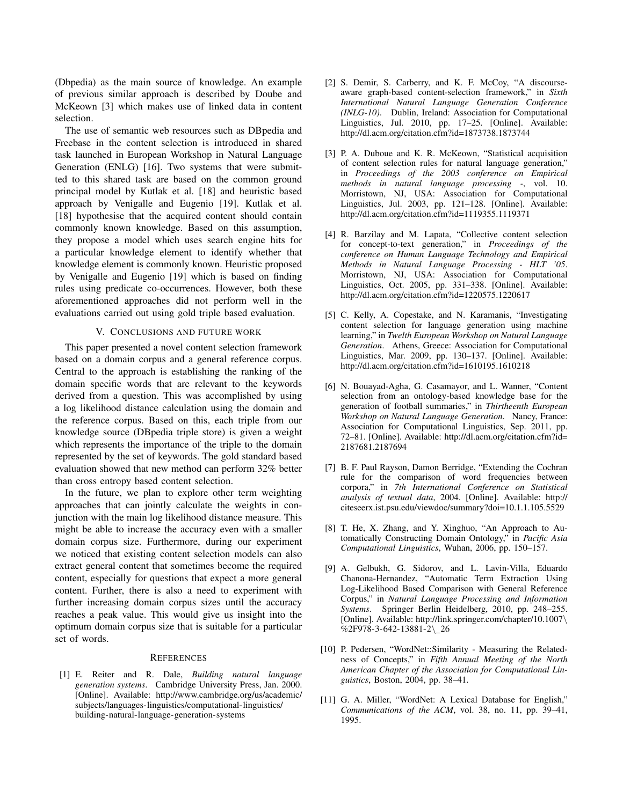(Dbpedia) as the main source of knowledge. An example of previous similar approach is described by Doube and McKeown [3] which makes use of linked data in content selection.

The use of semantic web resources such as DBpedia and Freebase in the content selection is introduced in shared task launched in European Workshop in Natural Language Generation (ENLG) [16]. Two systems that were submitted to this shared task are based on the common ground principal model by Kutlak et al. [18] and heuristic based approach by Venigalle and Eugenio [19]. Kutlak et al. [18] hypothesise that the acquired content should contain commonly known knowledge. Based on this assumption, they propose a model which uses search engine hits for a particular knowledge element to identify whether that knowledge element is commonly known. Heuristic proposed by Venigalle and Eugenio [19] which is based on finding rules using predicate co-occurrences. However, both these aforementioned approaches did not perform well in the evaluations carried out using gold triple based evaluation.

# V. CONCLUSIONS AND FUTURE WORK

This paper presented a novel content selection framework based on a domain corpus and a general reference corpus. Central to the approach is establishing the ranking of the domain specific words that are relevant to the keywords derived from a question. This was accomplished by using a log likelihood distance calculation using the domain and the reference corpus. Based on this, each triple from our knowledge source (DBpedia triple store) is given a weight which represents the importance of the triple to the domain represented by the set of keywords. The gold standard based evaluation showed that new method can perform 32% better than cross entropy based content selection.

In the future, we plan to explore other term weighting approaches that can jointly calculate the weights in conjunction with the main log likelihood distance measure. This might be able to increase the accuracy even with a smaller domain corpus size. Furthermore, during our experiment we noticed that existing content selection models can also extract general content that sometimes become the required content, especially for questions that expect a more general content. Further, there is also a need to experiment with further increasing domain corpus sizes until the accuracy reaches a peak value. This would give us insight into the optimum domain corpus size that is suitable for a particular set of words.

#### **REFERENCES**

[1] E. Reiter and R. Dale, *Building natural language generation systems*. Cambridge University Press, Jan. 2000. [Online]. Available: http://www.cambridge.org/us/academic/ subjects/languages-linguistics/computational-linguistics/ building-natural-language-generation-systems

- [2] S. Demir, S. Carberry, and K. F. McCoy, "A discourseaware graph-based content-selection framework," in *Sixth International Natural Language Generation Conference (INLG-10)*. Dublin, Ireland: Association for Computational Linguistics, Jul. 2010, pp. 17–25. [Online]. Available: http://dl.acm.org/citation.cfm?id=1873738.1873744
- [3] P. A. Duboue and K. R. McKeown, "Statistical acquisition of content selection rules for natural language generation," in *Proceedings of the 2003 conference on Empirical methods in natural language processing -*, vol. 10. Morristown, NJ, USA: Association for Computational Linguistics, Jul. 2003, pp. 121–128. [Online]. Available: http://dl.acm.org/citation.cfm?id=1119355.1119371
- [4] R. Barzilay and M. Lapata, "Collective content selection for concept-to-text generation," in *Proceedings of the conference on Human Language Technology and Empirical Methods in Natural Language Processing - HLT '05*. Morristown, NJ, USA: Association for Computational Linguistics, Oct. 2005, pp. 331–338. [Online]. Available: http://dl.acm.org/citation.cfm?id=1220575.1220617
- [5] C. Kelly, A. Copestake, and N. Karamanis, "Investigating content selection for language generation using machine learning," in *Twelth European Workshop on Natural Language Generation*. Athens, Greece: Association for Computational Linguistics, Mar. 2009, pp. 130–137. [Online]. Available: http://dl.acm.org/citation.cfm?id=1610195.1610218
- [6] N. Bouayad-Agha, G. Casamayor, and L. Wanner, "Content selection from an ontology-based knowledge base for the generation of football summaries," in *Thirtheenth European Workshop on Natural Language Generation*. Nancy, France: Association for Computational Linguistics, Sep. 2011, pp. 72–81. [Online]. Available: http://dl.acm.org/citation.cfm?id= 2187681.2187694
- [7] B. F. Paul Rayson, Damon Berridge, "Extending the Cochran rule for the comparison of word frequencies between corpora," in *7th International Conference on Statistical analysis of textual data*, 2004. [Online]. Available: http:// citeseerx.ist.psu.edu/viewdoc/summary?doi=10.1.1.105.5529
- [8] T. He, X. Zhang, and Y. Xinghuo, "An Approach to Automatically Constructing Domain Ontology," in *Pacific Asia Computational Linguistics*, Wuhan, 2006, pp. 150–157.
- [9] A. Gelbukh, G. Sidorov, and L. Lavin-Villa, Eduardo Chanona-Hernandez, "Automatic Term Extraction Using Log-Likelihood Based Comparison with General Reference Corpus," in *Natural Language Processing and Information Systems*. Springer Berlin Heidelberg, 2010, pp. 248–255. [Online]. Available: http://link.springer.com/chapter/10.1007\ %2F978-3-642-13881-2\ 26
- [10] P. Pedersen, "WordNet::Similarity Measuring the Relatedness of Concepts," in *Fifth Annual Meeting of the North American Chapter of the Association for Computational Linguistics*, Boston, 2004, pp. 38–41.
- [11] G. A. Miller, "WordNet: A Lexical Database for English," *Communications of the ACM*, vol. 38, no. 11, pp. 39–41, 1995.